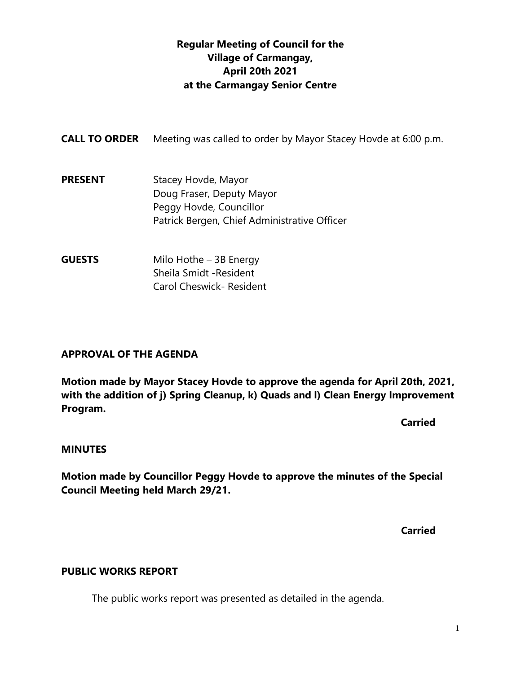# **Regular Meeting of Council for the Village of Carmangay, April 20th 2021 at the Carmangay Senior Centre**

| <b>CALL TO ORDER</b> | Meeting was called to order by Mayor Stacey Hovde at 6:00 p.m.                                                              |
|----------------------|-----------------------------------------------------------------------------------------------------------------------------|
| <b>PRESENT</b>       | Stacey Hovde, Mayor<br>Doug Fraser, Deputy Mayor<br>Peggy Hovde, Councillor<br>Patrick Bergen, Chief Administrative Officer |
| <b>GUESTS</b>        | Milo Hothe $-$ 3B Energy                                                                                                    |

Sheila Smidt -Resident Carol Cheswick- Resident

# **APPROVAL OF THE AGENDA**

**Motion made by Mayor Stacey Hovde to approve the agenda for April 20th, 2021, with the addition of j) Spring Cleanup, k) Quads and l) Clean Energy Improvement Program.**

**Carried** 

#### **MINUTES**

**Motion made by Councillor Peggy Hovde to approve the minutes of the Special Council Meeting held March 29/21.**

**Carried**

# **PUBLIC WORKS REPORT**

The public works report was presented as detailed in the agenda.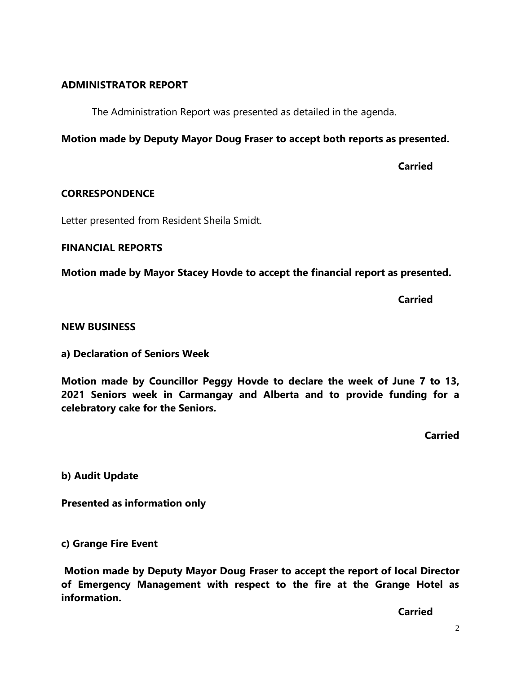### **ADMINISTRATOR REPORT**

The Administration Report was presented as detailed in the agenda.

**Motion made by Deputy Mayor Doug Fraser to accept both reports as presented.**

**Carried**

### **CORRESPONDENCE**

Letter presented from Resident Sheila Smidt.

#### **FINANCIAL REPORTS**

**Motion made by Mayor Stacey Hovde to accept the financial report as presented.**

**Carried**

#### **NEW BUSINESS**

**a) Declaration of Seniors Week**

**Motion made by Councillor Peggy Hovde to declare the week of June 7 to 13, 2021 Seniors week in Carmangay and Alberta and to provide funding for a celebratory cake for the Seniors.**

**Carried**

**b) Audit Update** 

**Presented as information only**

**c) Grange Fire Event**

**Motion made by Deputy Mayor Doug Fraser to accept the report of local Director of Emergency Management with respect to the fire at the Grange Hotel as information.**

**Carried**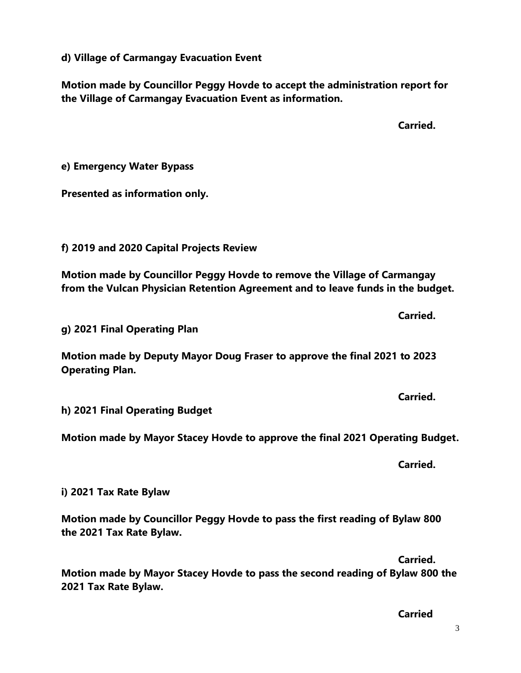**d) Village of Carmangay Evacuation Event**

**Motion made by Councillor Peggy Hovde to accept the administration report for the Village of Carmangay Evacuation Event as information.**

**Carried. e) Emergency Water Bypass Presented as information only. f) 2019 and 2020 Capital Projects Review Motion made by Councillor Peggy Hovde to remove the Village of Carmangay from the Vulcan Physician Retention Agreement and to leave funds in the budget. Carried. g) 2021 Final Operating Plan Motion made by Deputy Mayor Doug Fraser to approve the final 2021 to 2023 Operating Plan. Carried. h) 2021 Final Operating Budget Motion made by Mayor Stacey Hovde to approve the final 2021 Operating Budget. Carried. i) 2021 Tax Rate Bylaw Motion made by Councillor Peggy Hovde to pass the first reading of Bylaw 800 the 2021 Tax Rate Bylaw.**

**Motion made by Mayor Stacey Hovde to pass the second reading of Bylaw 800 the 2021 Tax Rate Bylaw.**

**Carried**

**Carried.**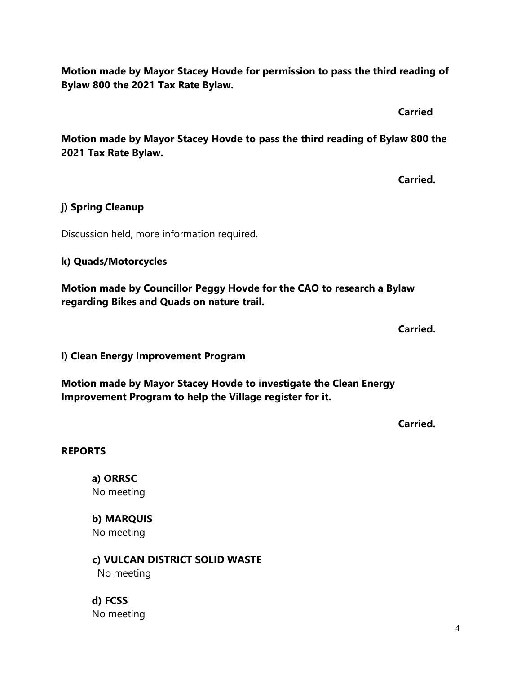**Motion made by Mayor Stacey Hovde for permission to pass the third reading of Bylaw 800 the 2021 Tax Rate Bylaw.**

**Carried**

**Motion made by Mayor Stacey Hovde to pass the third reading of Bylaw 800 the 2021 Tax Rate Bylaw.**

**Carried.**

# **j) Spring Cleanup**

Discussion held, more information required.

# **k) Quads/Motorcycles**

**Motion made by Councillor Peggy Hovde for the CAO to research a Bylaw regarding Bikes and Quads on nature trail.**

**Carried.**

**l) Clean Energy Improvement Program** 

**Motion made by Mayor Stacey Hovde to investigate the Clean Energy Improvement Program to help the Village register for it.** 

**Carried.**

# **REPORTS**

**a) ORRSC** No meeting

**b) MARQUIS**  No meeting

 **c) VULCAN DISTRICT SOLID WASTE**  No meeting

**d) FCSS**  No meeting